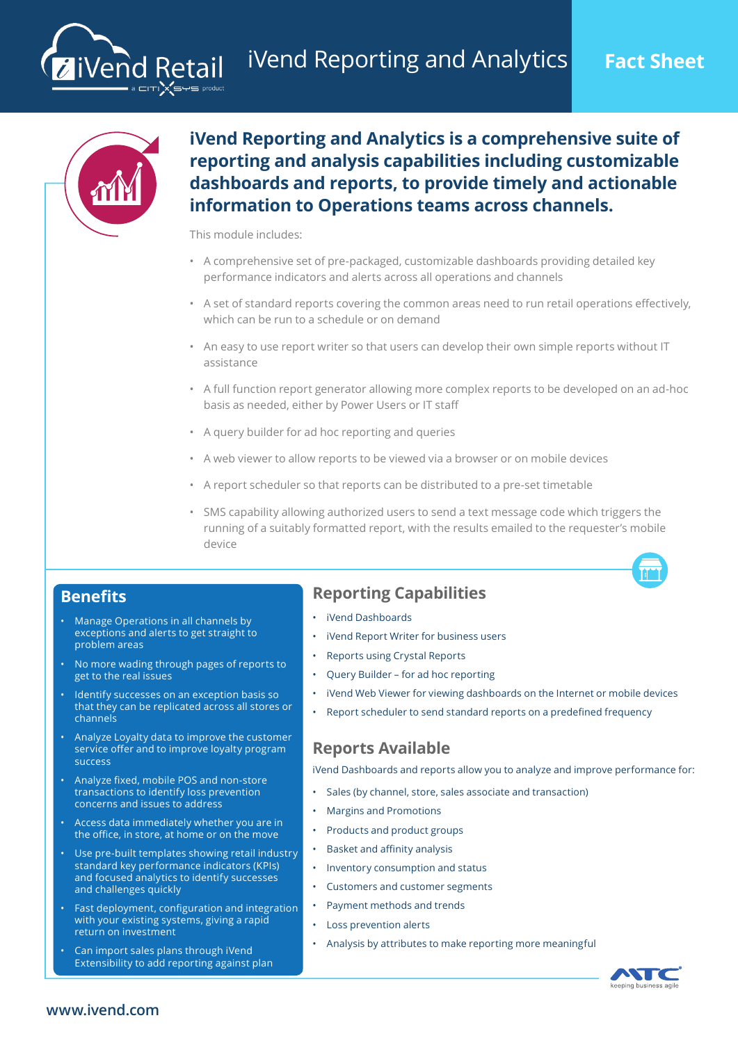

liVend Retail

**iVend Reporting and Analytics is a comprehensive suite of reporting and analysis capabilities including customizable dashboards and reports, to provide timely and actionable information to Operations teams across channels.**

This module includes:

- A comprehensive set of pre-packaged, customizable dashboards providing detailed key performance indicators and alerts across all operations and channels
- A set of standard reports covering the common areas need to run retail operations effectively, which can be run to a schedule or on demand
- An easy to use report writer so that users can develop their own simple reports without IT assistance
- A full function report generator allowing more complex reports to be developed on an ad-hoc basis as needed, either by Power Users or IT staff
- A query builder for ad hoc reporting and queries
- A web viewer to allow reports to be viewed via a browser or on mobile devices
- A report scheduler so that reports can be distributed to a pre-set timetable
- SMS capability allowing authorized users to send a text message code which triggers the running of a suitably formatted report, with the results emailed to the requester's mobile device

### **Benefits**

- Manage Operations in all channels by exceptions and alerts to get straight to problem areas
- No more wading through pages of reports to get to the real issues
- Identify successes on an exception basis so that they can be replicated across all stores or channels
- Analyze Loyalty data to improve the customer service offer and to improve loyalty program success
- Analyze fixed, mobile POS and non-store transactions to identify loss prevention concerns and issues to address
- Access data immediately whether you are in the office, in store, at home or on the move
- Use pre-built templates showing retail industry standard key performance indicators (KPIs) and focused analytics to identify successes and challenges quickly
- Fast deployment, configuration and integration with your existing systems, giving a rapid return on investment
- Can import sales plans through iVend Extensibility to add reporting against plan

# **Reporting Capabilities**

- iVend Dashboards
- iVend Report Writer for business users
- Reports using Crystal Reports
- Query Builder for ad hoc reporting
- iVend Web Viewer for viewing dashboards on the Internet or mobile devices
- Report scheduler to send standard reports on a predefined frequency

## **Reports Available**

iVend Dashboards and reports allow you to analyze and improve performance for:

- Sales (by channel, store, sales associate and transaction)
- Margins and Promotions
- Products and product groups
- Basket and affinity analysis
- Inventory consumption and status
- Customers and customer segments
- Payment methods and trends
- Loss prevention alerts
- Analysis by attributes to make reporting more meaningful



#### **www.ivend.com**